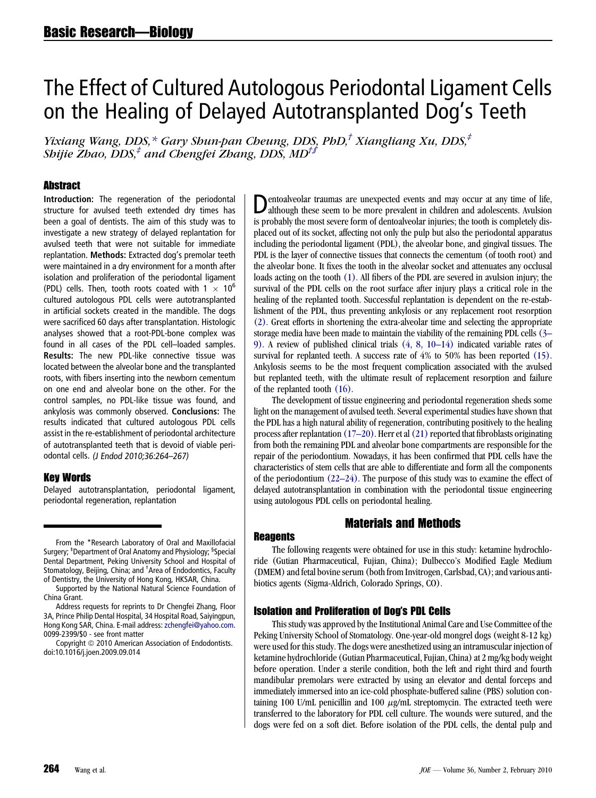# The Effect of Cultured Autologous Periodontal Ligament Cells on the Healing of Delayed Autotransplanted Dog's Teeth

Yixiang Wang, DDS,\* Gary Shun-pan Cheung, DDS, PhD, $^{\dagger}$  Xiangliang Xu, DDS, $^{\dagger}$ Shijie Zhao, DDS,<sup>‡</sup> and Chengfei Zhang, DDS, MD<sup>†∫</sup>

#### **Abstract**

Introduction: The regeneration of the periodontal structure for avulsed teeth extended dry times has been a goal of dentists. The aim of this study was to investigate a new strategy of delayed replantation for avulsed teeth that were not suitable for immediate replantation. Methods: Extracted dog's premolar teeth were maintained in a dry environment for a month after isolation and proliferation of the periodontal ligament (PDL) cells. Then, tooth roots coated with 1  $\times$  10<sup>6</sup> cultured autologous PDL cells were autotransplanted in artificial sockets created in the mandible. The dogs were sacrificed 60 days after transplantation. Histologic analyses showed that a root-PDL-bone complex was found in all cases of the PDL cell–loaded samples. Results: The new PDL-like connective tissue was located between the alveolar bone and the transplanted roots, with fibers inserting into the newborn cementum on one end and alveolar bone on the other. For the control samples, no PDL-like tissue was found, and ankylosis was commonly observed. Conclusions: The results indicated that cultured autologous PDL cells assist in the re-establishment of periodontal architecture of autotransplanted teeth that is devoid of viable periodontal cells. (J Endod 2010;36:264–267)

## Key Words

Delayed autotransplantation, periodontal ligament, periodontal regeneration, replantation

Dentoalveolar traumas are unexpected events and may occur at any time of life, although these seem to be more prevalent in children and adolescents. Avulsion is probably the most severe form of dentoalveolar injuries; the tooth is completely displaced out of its socket, affecting not only the pulp but also the periodontal apparatus including the periodontal ligament (PDL), the alveolar bone, and gingival tissues. The PDL is the layer of connective tissues that connects the cementum (of tooth root) and the alveolar bone. It fixes the tooth in the alveolar socket and attenuates any occlusal loads acting on the tooth [\(1\)](#page-3-0). All fibers of the PDL are severed in avulsion injury; the survival of the PDL cells on the root surface after injury plays a critical role in the healing of the replanted tooth. Successful replantation is dependent on the re-establishment of the PDL, thus preventing ankylosis or any replacement root resorption [\(2\)](#page-3-0). Great efforts in shortening the extra-alveolar time and selecting the appropriate storage media have been made to maintain the viability of the remaining PDL cells [\(3–](#page-3-0) [9\)](#page-3-0). A review of published clinical trials [\(4, 8, 10–14\)](#page-3-0) indicated variable rates of survival for replanted teeth. A success rate of 4% to 50% has been reported [\(15\).](#page-3-0) Ankylosis seems to be the most frequent complication associated with the avulsed but replanted teeth, with the ultimate result of replacement resorption and failure of the replanted tooth [\(16\).](#page-3-0)

The development of tissue engineering and periodontal regeneration sheds some light on the management of avulsed teeth. Several experimental studies have shown that the PDL has a high natural ability of regeneration, contributing positively to the healing process after replantation  $(17–20)$ . Herr et al  $(21)$  reported that fibroblasts originating from both the remaining PDL and alveolar bone compartments are responsible for the repair of the periodontium. Nowadays, it has been confirmed that PDL cells have the characteristics of stem cells that are able to differentiate and form all the components of the periodontium  $(22-24)$ . The purpose of this study was to examine the effect of delayed autotransplantation in combination with the periodontal tissue engineering using autologous PDL cells on periodontal healing.

# Materials and Methods

## **Reagents**

The following reagents were obtained for use in this study: ketamine hydrochloride (Gutian Pharmaceutical, Fujian, China); Dulbecco's Modified Eagle Medium (DMEM) and fetal bovine serum (both from Invitrogen, Carlsbad, CA); and various antibiotics agents (Sigma-Aldrich, Colorado Springs, CO).

## Isolation and Proliferation of Dog's PDL Cells

This study was approved by the Institutional Animal Care and Use Committee of the Peking University School of Stomatology. One-year-old mongrel dogs (weight 8-12 kg) were used for this study. The dogs were anesthetized using an intramuscular injection of ketamine hydrochloride (Gutian Pharmaceutical, Fujian, China) at 2 mg/kg body weight before operation. Under a sterile condition, both the left and right third and fourth mandibular premolars were extracted by using an elevator and dental forceps and immediately immersed into an ice-cold phosphate-buffered saline (PBS) solution containing 100 U/mL penicillin and 100  $\mu$ g/mL streptomycin. The extracted teeth were transferred to the laboratory for PDL cell culture. The wounds were sutured, and the dogs were fed on a soft diet. Before isolation of the PDL cells, the dental pulp and

From the \*Research Laboratory of Oral and Maxillofacial Surgery; <sup>‡</sup>Department of Oral Anatomy and Physiology; <sup>§</sup>Special Dental Department, Peking University School and Hospital of Stomatology, Beijing, China; and † Area of Endodontics, Faculty of Dentistry, the University of Hong Kong, HKSAR, China.

Supported by the National Natural Science Foundation of China Grant.

Address requests for reprints to Dr Chengfei Zhang, Floor 3A, Prince Philip Dental Hospital, 34 Hospital Road, Saiyingpun, Hong Kong SAR, China. E-mail address: [zchengfei@yahoo.com](mailto:zchengfei@yahoo.com). 0099-2399/\$0 - see front matter

Copyright © 2010 American Association of Endodontists. doi:10.1016/j.joen.2009.09.014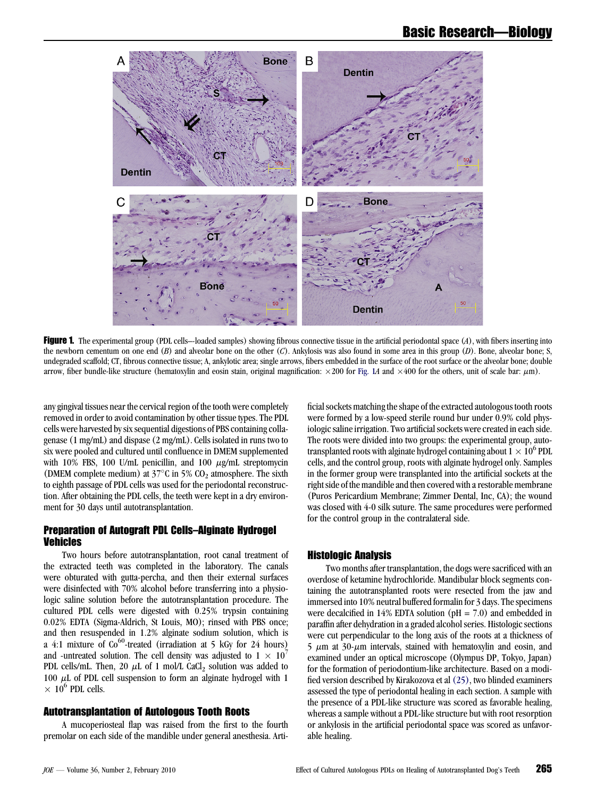<span id="page-1-0"></span>

Figure 1. The experimental group (PDL cells—loaded samples) showing fibrous connective tissue in the artificial periodontal space  $(A)$ , with fibers inserting into the newborn cementum on one end  $(B)$  and alveolar bone on the other  $(C)$ . Ankylosis was also found in some area in this group  $(D)$ . Bone, alveolar bone; S, undegraded scaffold; CT, fibrous connective tissue; A, ankylotic area; single arrows, fibers embedded in the surface of the root surface or the alveolar bone; double arrow, fiber bundle-like structure (hematoxylin and eosin stain, original magnification:  $\times 200$  for Fig. 1A and  $\times 400$  for the others, unit of scale bar:  $\mu$ m).

any gingival tissues near the cervical region of the tooth were completely removed in order to avoid contamination by other tissue types. The PDL cells were harvested by six sequential digestions of PBS containing collagenase (1 mg/mL) and dispase (2 mg/mL). Cells isolated in runs two to six were pooled and cultured until confluence in DMEM supplemented with 10% FBS, 100 U/mL penicillin, and 100  $\mu$ g/mL streptomycin (DMEM complete medium) at  $37^{\circ}$ C in 5% CO<sub>2</sub> atmosphere. The sixth to eighth passage of PDL cells was used for the periodontal reconstruction. After obtaining the PDL cells, the teeth were kept in a dry environment for 30 days until autotransplantation.

#### Preparation of Autograft PDL Cells–Alginate Hydrogel Vehicles

Two hours before autotransplantation, root canal treatment of the extracted teeth was completed in the laboratory. The canals were obturated with gutta-percha, and then their external surfaces were disinfected with 70% alcohol before transferring into a physiologic saline solution before the autotransplantation procedure. The cultured PDL cells were digested with 0.25% trypsin containing 0.02% EDTA (Sigma-Aldrich, St Louis, MO); rinsed with PBS once; and then resuspended in 1.2% alginate sodium solution, which is a 4:1 mixture of  $Co^{60}$ -treated (irradiation at 5 kGy for 24 hours) and -untreated solution. The cell density was adjusted to  $1 \times 10^{7}$ PDL cells/mL. Then, 20  $\mu$ L of 1 mol/L CaCl<sub>2</sub> solution was added to 100  $\mu$ L of PDL cell suspension to form an alginate hydrogel with 1  $\times$  10<sup>6</sup> PDL cells.

#### Autotransplantation of Autologous Tooth Roots

A mucoperiosteal flap was raised from the first to the fourth premolar on each side of the mandible under general anesthesia. Artificial sockets matching the shape of the extracted autologous tooth roots were formed by a low-speed sterile round bur under 0.9% cold physiologic saline irrigation. Two artificial sockets were created in each side. The roots were divided into two groups: the experimental group, autotransplanted roots with alginate hydrogel containing about  $1 \times 10^6$  PDL cells, and the control group, roots with alginate hydrogel only. Samples in the former group were transplanted into the artificial sockets at the right side of the mandible and then covered with a restorable membrane (Puros Pericardium Membrane; Zimmer Dental, Inc, CA); the wound was closed with 4-0 silk suture. The same procedures were performed for the control group in the contralateral side.

## Histologic Analysis

Two months after transplantation, the dogs were sacrificed with an overdose of ketamine hydrochloride. Mandibular block segments containing the autotransplanted roots were resected from the jaw and immersed into 10% neutral buffered formalin for 3 days. The specimens were decalcified in 14% EDTA solution ( $pH = 7.0$ ) and embedded in paraffin after dehydration in a graded alcohol series. Histologic sections were cut perpendicular to the long axis of the roots at a thickness of  $5 \mu m$  at  $30$ - $\mu m$  intervals, stained with hematoxylin and eosin, and examined under an optical microscope (Olympus DP, Tokyo, Japan) for the formation of periodontium-like architecture. Based on a modified version described by Kirakozova et al [\(25\),](#page-3-0) two blinded examiners assessed the type of periodontal healing in each section. A sample with the presence of a PDL-like structure was scored as favorable healing, whereas a sample without a PDL-like structure but with root resorption or ankylosis in the artificial periodontal space was scored as unfavorable healing.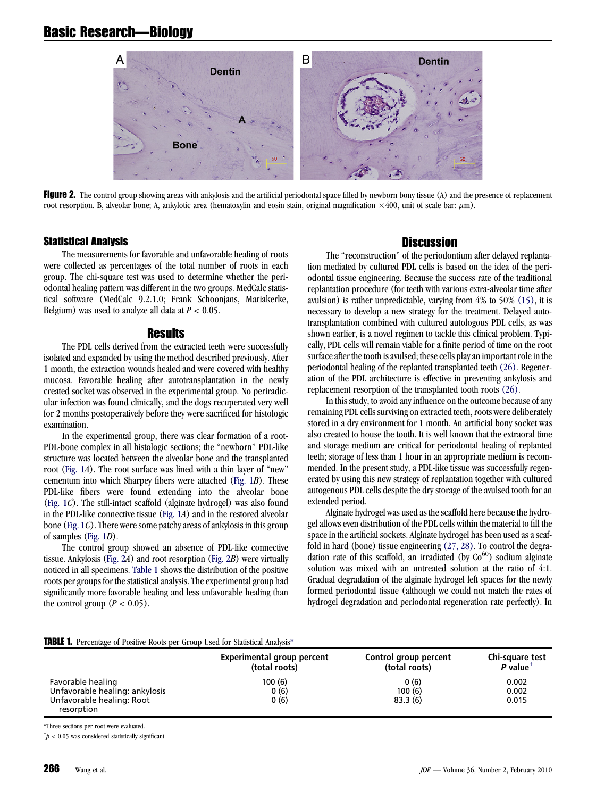# Basic Research—Biology



Figure 2. The control group showing areas with ankylosis and the artificial periodontal space filled by newborn bony tissue (A) and the presence of replacement root resorption. B, alveolar bone; A, ankylotic area (hematoxylin and eosin stain, original magnification  $\times 400$ , unit of scale bar:  $\mu$ m).

#### Statistical Analysis

The measurements for favorable and unfavorable healing of roots were collected as percentages of the total number of roots in each group. The chi-square test was used to determine whether the periodontal healing pattern was different in the two groups. MedCalc statistical software (MedCalc 9.2.1.0; Frank Schoonjans, Mariakerke, Belgium) was used to analyze all data at  $P < 0.05$ .

#### Results

The PDL cells derived from the extracted teeth were successfully isolated and expanded by using the method described previously. After 1 month, the extraction wounds healed and were covered with healthy mucosa. Favorable healing after autotransplantation in the newly created socket was observed in the experimental group. No periradicular infection was found clinically, and the dogs recuperated very well for 2 months postoperatively before they were sacrificed for histologic examination.

In the experimental group, there was clear formation of a root-PDL-bone complex in all histologic sections; the ''newborn'' PDL-like structure was located between the alveolar bone and the transplanted root [\(Fig. 1](#page-1-0)A). The root surface was lined with a thin layer of "new" cementum into which Sharpey fibers were attached [\(Fig. 1](#page-1-0)B). These PDL-like fibers were found extending into the alveolar bone ([Fig. 1](#page-1-0)C). The still-intact scaffold (alginate hydrogel) was also found in the PDL-like connective tissue ([Fig. 1](#page-1-0)A) and in the restored alveolar bone ([Fig. 1](#page-1-0)C). There were some patchy areas of ankylosis in this group of samples ([Fig. 1](#page-1-0)D).

The control group showed an absence of PDL-like connective tissue. Ankylosis (Fig. 2A) and root resorption (Fig. 2B) were virtually noticed in all specimens. Table 1 shows the distribution of the positive roots per groups for the statistical analysis. The experimental group had significantly more favorable healing and less unfavorable healing than the control group ( $P < 0.05$ ).

# **Discussion**

The "reconstruction" of the periodontium after delayed replantation mediated by cultured PDL cells is based on the idea of the periodontal tissue engineering. Because the success rate of the traditional replantation procedure (for teeth with various extra-alveolar time after avulsion) is rather unpredictable, varying from 4% to 50% [\(15\),](#page-3-0) it is necessary to develop a new strategy for the treatment. Delayed autotransplantation combined with cultured autologous PDL cells, as was shown earlier, is a novel regimen to tackle this clinical problem. Typically, PDL cells will remain viable for a finite period of time on the root surface after the tooth is avulsed; these cells play an important role in the periodontal healing of the replanted transplanted teeth [\(26\).](#page-3-0) Regeneration of the PDL architecture is effective in preventing ankylosis and replacement resorption of the transplanted tooth roots [\(26\).](#page-3-0)

In this study, to avoid any influence on the outcome because of any remaining PDL cells surviving on extracted teeth, roots were deliberately stored in a dry environment for 1 month. An artificial bony socket was also created to house the tooth. It is well known that the extraoral time and storage medium are critical for periodontal healing of replanted teeth; storage of less than 1 hour in an appropriate medium is recommended. In the present study, a PDL-like tissue was successfully regenerated by using this new strategy of replantation together with cultured autogenous PDL cells despite the dry storage of the avulsed tooth for an extended period.

Alginate hydrogel was used as the scaffold here because the hydrogel allows even distribution of the PDL cells within the material to fill the space in the artificial sockets. Alginate hydrogel has been used as a scaffold in hard (bone) tissue engineering [\(27, 28\).](#page-3-0) To control the degradation rate of this scaffold, an irradiated (by  $Co<sup>60</sup>$ ) sodium alginate solution was mixed with an untreated solution at the ratio of 4:1. Gradual degradation of the alginate hydrogel left spaces for the newly formed periodontal tissue (although we could not match the rates of hydrogel degradation and periodontal regeneration rate perfectly). In

#### TABLE 1. Percentage of Positive Roots per Group Used for Statistical Analysis\*

|                                         | Experimental group percent<br>(total roots) | Control group percent<br>(total roots) | Chi-square test<br>$P$ value <sup><math>T</math></sup> |
|-----------------------------------------|---------------------------------------------|----------------------------------------|--------------------------------------------------------|
| Favorable healing                       | 100 (6)                                     | 0(6)                                   | 0.002                                                  |
| Unfavorable healing: ankylosis          | 0(6)                                        | 100(6)                                 | 0.002                                                  |
| Unfavorable healing: Root<br>resorption | 0(6)                                        | 83.3(6)                                | 0.015                                                  |

\*Three sections per root were evaluated.

 $\phi^{\dagger} p < 0.05$  was considered statistically significant.